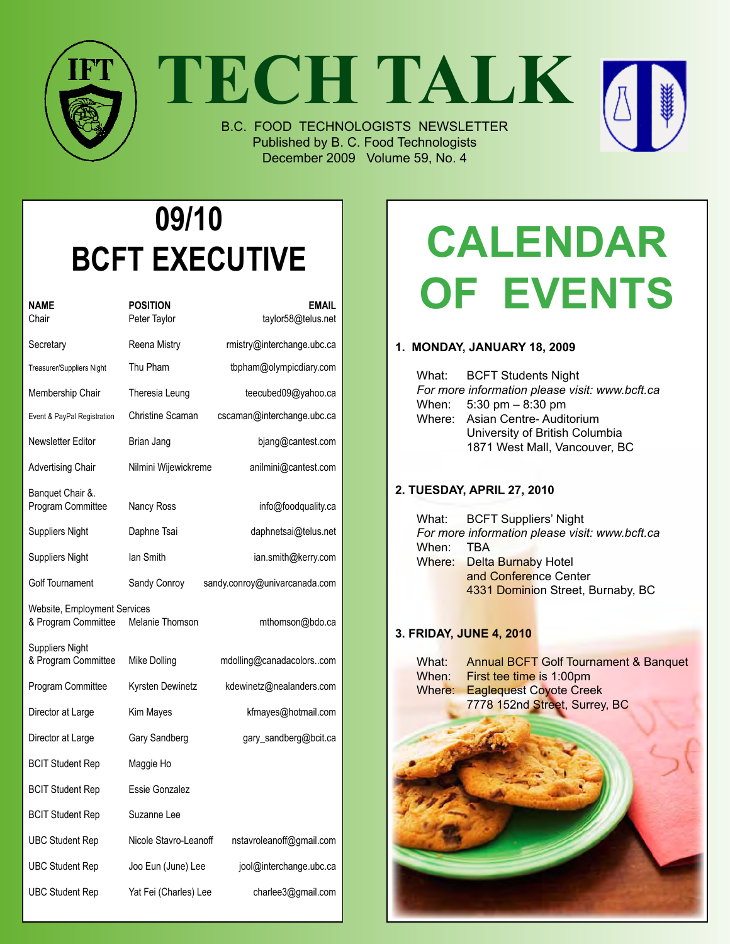

**TECH TALK**

B.C. FOOD TECHNOLOGISTS NEWSLETTER Published by B. C. Food Technologists December 2009 Volume 59, No. 4



| NAME<br>Chair                                       | <b>POSITION</b><br>Peter Taylor | <b>EMAIL</b><br>taylor58@telus.net |
|-----------------------------------------------------|---------------------------------|------------------------------------|
| Secretary                                           | Reena Mistry                    | rmistry@interchange.ubc.ca         |
| Treasurer/Suppliers Night                           | Thu Pham                        | tbpham@olympicdiary.com            |
| Membership Chair                                    | Theresia Leung                  | teecubed09@yahoo.ca                |
| Event & PayPal Registration                         | <b>Christine Scaman</b>         | cscaman@interchange.ubc.ca         |
| Newsletter Editor                                   | Brian Jang                      | bjang@cantest.com                  |
| Advertising Chair                                   | Nilmini Wijewickreme            | anilmini@cantest.com               |
| Banquet Chair &.<br>Program Committee               | Nancy Ross                      | info@foodquality.ca                |
| Suppliers Night                                     | Daphne Tsai                     | daphnetsai@telus.net               |
| Suppliers Night                                     | lan Smith                       | ian.smith@kerry.com                |
| Golf Tournament                                     | Sandy Conroy                    | sandy.conroy@univarcanada.com      |
| Website, Employment Services<br>& Program Committee | Melanie Thomson                 | mthomson@bdo.ca                    |
| Suppliers Night<br>& Program Committee              | Mike Dolling                    | mdolling@canadacolorscom           |
| Program Committee                                   | Kyrsten Dewinetz                | kdewinetz@nealanders.com           |
| Director at Large                                   | Kim Mayes                       | kfmayes@hotmail.com                |
| Director at Large                                   | Gary Sandberg                   | gary_sandberg@bcit.ca              |
| <b>BCIT Student Rep</b>                             | Maggie Ho                       |                                    |
| <b>BCIT Student Rep</b>                             | Essie Gonzalez                  |                                    |
| <b>BCIT Student Rep</b>                             | Suzanne Lee                     |                                    |
| UBC Student Rep                                     | Nicole Stavro-Leanoff           | nstavroleanoff@gmail.com           |
| UBC Student Rep                                     | Joo Eun (June) Lee              | jool@interchange.ubc.ca            |
| UBC Student Rep                                     | Yat Fei (Charles) Lee           | charlee3@gmail.com                 |

# **Calendar of Events**

#### **1. Monday, January 18, 2009**

|  | What: BCFT Students Night                      |
|--|------------------------------------------------|
|  | For more information please visit: www.bcft.ca |
|  | When: $5:30 \text{ pm} - 8:30 \text{ pm}$      |
|  | Where: Asian Centre-Auditorium                 |
|  | University of British Columbia                 |
|  | 1871 West Mall, Vancouver, BC                  |

#### **2. Tuesday, April 27, 2010**

What: BCFT Suppliers' Night *For more information please visit: www.bcft.ca* When: TBA Where: Delta Burnaby Hotel and Conference Center 4331 Dominion Street, Burnaby, BC

#### **3. Friday, June 4, 2010**

| What:<br>When: | <b>Annual BCFT Golf Tournament &amp; Banquet</b><br>First tee time is 1:00pm |
|----------------|------------------------------------------------------------------------------|
| Where:         | <b>Eaglequest Coyote Creek</b><br>7778 152nd Street, Surrey, BC              |
|                |                                                                              |
|                |                                                                              |
|                |                                                                              |
|                |                                                                              |
|                |                                                                              |
|                |                                                                              |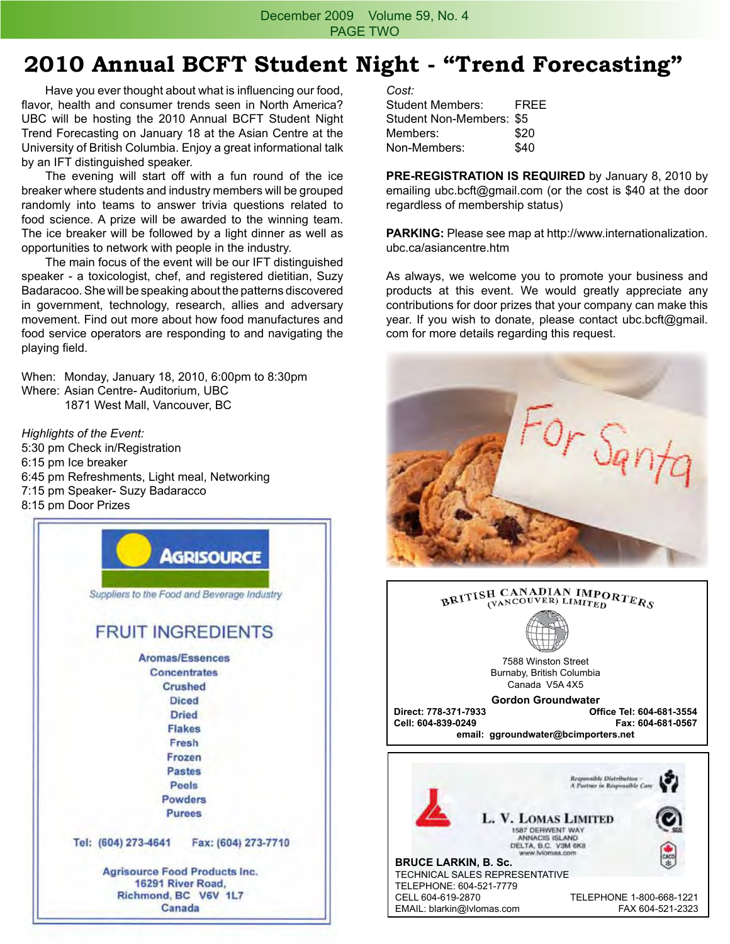December 2009 Volume 59, No. 4 PAGE TWO

#### **2010 Annual BCFT Student Night - "Trend Forecasting"**

 Have you ever thought about what is influencing our food, flavor, health and consumer trends seen in North America? UBC will be hosting the 2010 Annual BCFT Student Night Trend Forecasting on January 18 at the Asian Centre at the University of British Columbia. Enjoy a great informational talk by an IFT distinguished speaker.

 The evening will start off with a fun round of the ice breaker where students and industry members will be grouped randomly into teams to answer trivia questions related to food science. A prize will be awarded to the winning team. The ice breaker will be followed by a light dinner as well as opportunities to network with people in the industry.

 The main focus of the event will be our IFT distinguished speaker - a toxicologist, chef, and registered dietitian, Suzy Badaracoo. She will be speaking about the patterns discovered in government, technology, research, allies and adversary movement. Find out more about how food manufactures and food service operators are responding to and navigating the playing field.

When: Monday, January 18, 2010, 6:00pm to 8:30pm Where: Asian Centre- Auditorium, UBC 1871 West Mall, Vancouver, BC

*Highlights of the Event:* 5:30 pm Check in/Registration 6:15 pm Ice breaker 6:45 pm Refreshments, Light meal, Networking 7:15 pm Speaker- Suzy Badaracco 8:15 pm Door Prizes



*Cost:*

Student Members: FREE Student Non-Members: \$5 Members: \$20 Non-Members: \$40

**PRE-REGISTRATION IS REQUIRED** by January 8, 2010 by emailing ubc.bcft@gmail.com (or the cost is \$40 at the door regardless of membership status)

**Parking:** Please see map at http://www.internationalization. ubc.ca/asiancentre.htm

As always, we welcome you to promote your business and products at this event. We would greatly appreciate any contributions for door prizes that your company can make this year. If you wish to donate, please contact ubc.bcft@gmail. com for more details regarding this request.



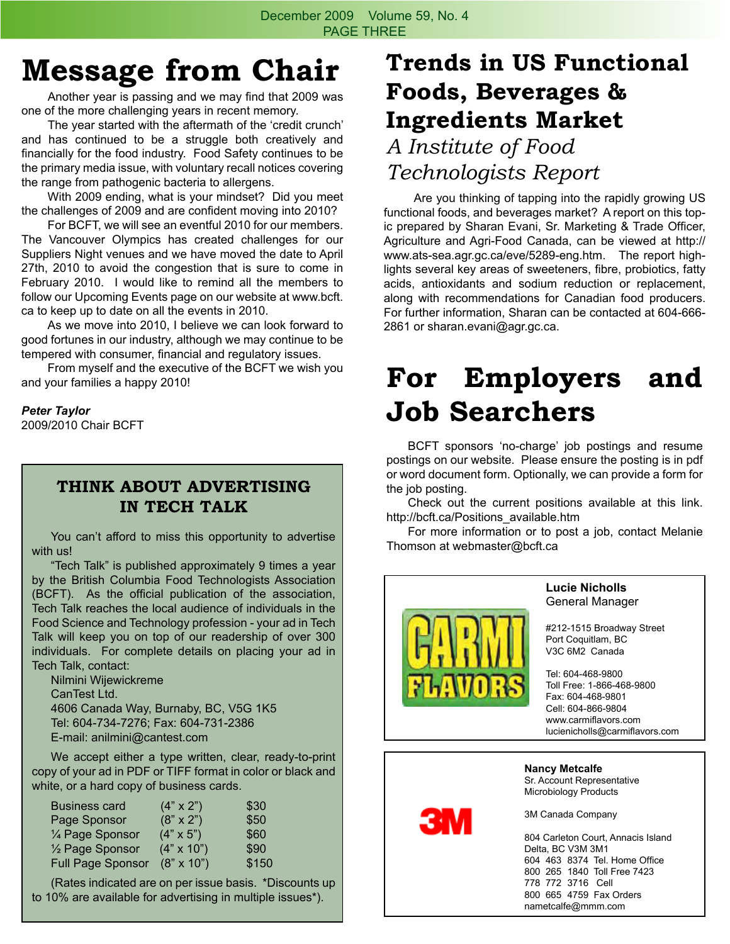## **Message from Chair**

 Another year is passing and we may find that 2009 was one of the more challenging years in recent memory.

 The year started with the aftermath of the 'credit crunch' and has continued to be a struggle both creatively and financially for the food industry. Food Safety continues to be the primary media issue, with voluntary recall notices covering the range from pathogenic bacteria to allergens.

 With 2009 ending, what is your mindset? Did you meet the challenges of 2009 and are confident moving into 2010?

 For BCFT, we will see an eventful 2010 for our members. The Vancouver Olympics has created challenges for our Suppliers Night venues and we have moved the date to April 27th, 2010 to avoid the congestion that is sure to come in February 2010. I would like to remind all the members to follow our Upcoming Events page on our website at www.bcft. ca to keep up to date on all the events in 2010.

 As we move into 2010, I believe we can look forward to good fortunes in our industry, although we may continue to be tempered with consumer, financial and regulatory issues.

 From myself and the executive of the BCFT we wish you and your families a happy 2010!

#### *Peter Taylor*

2009/2010 Chair BCFT

#### **THINK ABOUT ADVERTISING IN TECH TALK**

 You can't afford to miss this opportunity to advertise with us!

 "Tech Talk" is published approximately 9 times a year by the British Columbia Food Technologists Association (BCFT). As the official publication of the association, Tech Talk reaches the local audience of individuals in the Food Science and Technology profession - your ad in Tech Talk will keep you on top of our readership of over 300 individuals. For complete details on placing your ad in Tech Talk, contact:

 Nilmini Wijewickreme CanTest Ltd. 4606 Canada Way, Burnaby, BC, V5G 1K5 Tel: 604-734-7276; Fax: 604-731-2386 E-mail: anilmini@cantest.com

We accept either a type written, clear, ready-to-print copy of your ad in PDF or TIFF format in color or black and white, or a hard copy of business cards.

| <b>Business card</b>         | $(4" \times 2")$  | \$30  |
|------------------------------|-------------------|-------|
| Page Sponsor                 | $(8" \times 2")$  | \$50  |
| 1⁄4 Page Sponsor             | $(4" \times 5")$  | \$60  |
| 1/ <sub>2</sub> Page Sponsor | $(4" \times 10")$ | \$90  |
| <b>Full Page Sponsor</b>     | $(8" \times 10")$ | \$150 |

 (Rates indicated are on per issue basis. \*Discounts up to 10% are available for advertising in multiple issues\*).

## **Trends in US Functional Foods, Beverages & Ingredients Market**

### *A Institute of Food Technologists Report*

 Are you thinking of tapping into the rapidly growing US functional foods, and beverages market? A report on this topic prepared by Sharan Evani, Sr. Marketing & Trade Officer, Agriculture and Agri-Food Canada, can be viewed at http:// www.ats-sea.agr.gc.ca/eve/5289-eng.htm. The report highlights several key areas of sweeteners, fibre, probiotics, fatty acids, antioxidants and sodium reduction or replacement, along with recommendations for Canadian food producers. For further information, Sharan can be contacted at 604-666- 2861 or sharan.evani@agr.gc.ca.

## **For Employers and Job Searchers**

 BCFT sponsors 'no-charge' job postings and resume postings on our website. Please ensure the posting is in pdf or word document form. Optionally, we can provide a form for the job posting.

 Check out the current positions available at this link. http://bcft.ca/Positions\_available.htm

 For more information or to post a job, contact Melanie Thomson at webmaster@bcft.ca



Delta, BC V3M 3M1 604 463 8374 Tel. Home Office 800 265 1840 Toll Free 7423 778 772 3716 Cell 800 665 4759 Fax Orders nametcalfe@mmm.com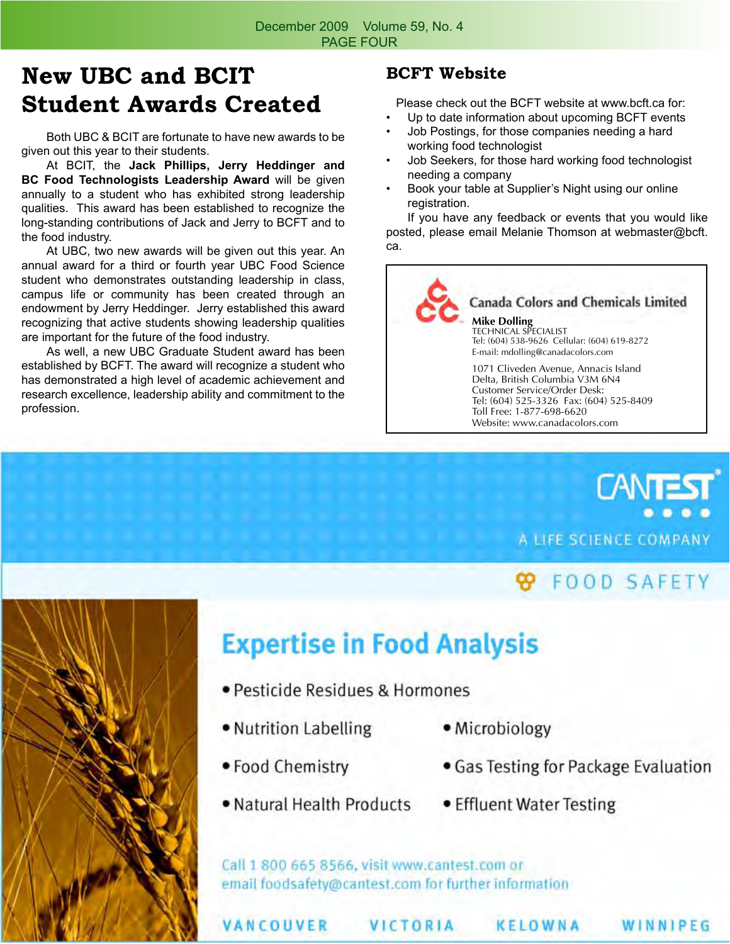## **New UBC and BCIT Student Awards Created**

 Both UBC & BCIT are fortunate to have new awards to be given out this year to their students.

 At BCIT, the **Jack Phillips, Jerry Heddinger and BC Food Technologists Leadership Award** will be given annually to a student who has exhibited strong leadership qualities. This award has been established to recognize the long-standing contributions of Jack and Jerry to BCFT and to the food industry.

 At UBC, two new awards will be given out this year. An annual award for a third or fourth year UBC Food Science student who demonstrates outstanding leadership in class, campus life or community has been created through an endowment by Jerry Heddinger. Jerry established this award recognizing that active students showing leadership qualities are important for the future of the food industry.

 As well, a new UBC Graduate Student award has been established by BCFT. The award will recognize a student who has demonstrated a high level of academic achievement and research excellence, leadership ability and commitment to the profession.

#### **BCFT Website**

Please check out the BCFT website at www.bcft.ca for:

- Up to date information about upcoming BCFT events
- Job Postings, for those companies needing a hard working food technologist
- Job Seekers, for those hard working food technologist needing a company
- Book your table at Supplier's Night using our online registration.

 If you have any feedback or events that you would like posted, please email Melanie Thomson at webmaster@bcft. ca.





### **FOOD SAFETY**



## **Expertise in Food Analysis**

- · Pesticide Residues & Hormones
- . Nutrition Labelling
- · Microbiology
- Food Chemistry
- . Natural Health Products . Effluent Water Testing
- · Gas Testing for Package Evaluation
	-

Call 1 800 665 8566, visit www.cantest.com or email foodsafety@cantest.com for further information

VANCOUVER

**VICTORIA** 

KELOWNA

WINNIPEG